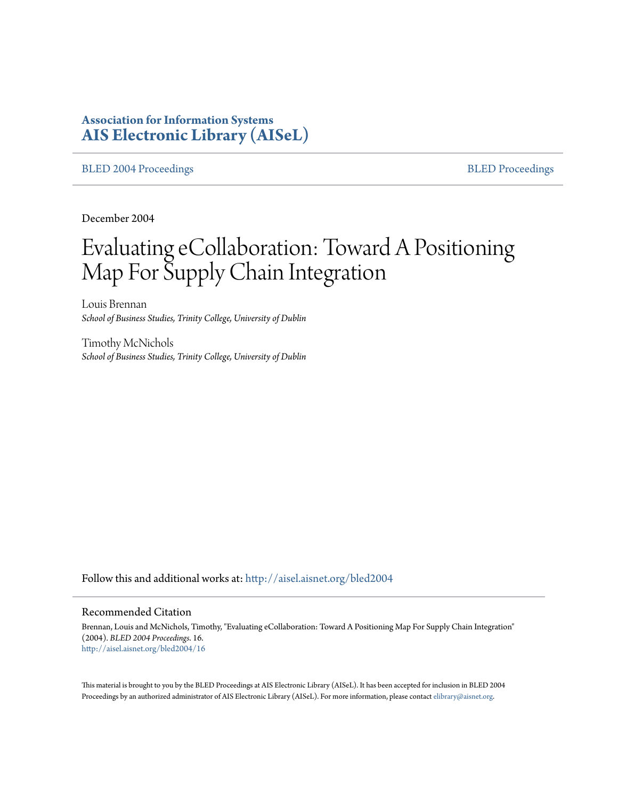# **Association for Information Systems [AIS Electronic Library \(AISeL\)](http://aisel.aisnet.org?utm_source=aisel.aisnet.org%2Fbled2004%2F16&utm_medium=PDF&utm_campaign=PDFCoverPages)**

#### [BLED 2004 Proceedings](http://aisel.aisnet.org/bled2004?utm_source=aisel.aisnet.org%2Fbled2004%2F16&utm_medium=PDF&utm_campaign=PDFCoverPages) and the state of the state of the [BLED Proceedings](http://aisel.aisnet.org/bled?utm_source=aisel.aisnet.org%2Fbled2004%2F16&utm_medium=PDF&utm_campaign=PDFCoverPages) and the BLED Proceedings and the BLED Proceedings and the BLED Proceedings and the BLED Proceedings and the BLED Proceedings and the BLED Proceedings

December 2004

# Evaluating eCollaboration: Toward A Positioning Map For Supply Chain Integration

Louis Brennan *School of Business Studies, Trinity College, University of Dublin*

Timothy McNichols *School of Business Studies, Trinity College, University of Dublin*

Follow this and additional works at: [http://aisel.aisnet.org/bled2004](http://aisel.aisnet.org/bled2004?utm_source=aisel.aisnet.org%2Fbled2004%2F16&utm_medium=PDF&utm_campaign=PDFCoverPages)

#### Recommended Citation

Brennan, Louis and McNichols, Timothy, "Evaluating eCollaboration: Toward A Positioning Map For Supply Chain Integration" (2004). *BLED 2004 Proceedings*. 16. [http://aisel.aisnet.org/bled2004/16](http://aisel.aisnet.org/bled2004/16?utm_source=aisel.aisnet.org%2Fbled2004%2F16&utm_medium=PDF&utm_campaign=PDFCoverPages)

This material is brought to you by the BLED Proceedings at AIS Electronic Library (AISeL). It has been accepted for inclusion in BLED 2004 Proceedings by an authorized administrator of AIS Electronic Library (AISeL). For more information, please contact [elibrary@aisnet.org](mailto:elibrary@aisnet.org%3E).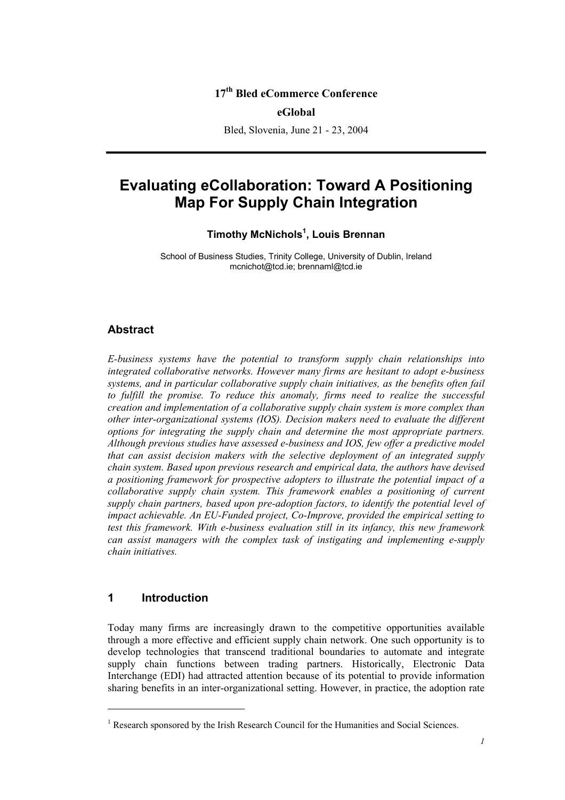## **17th Bled eCommerce Conference**

#### **eGlobal**

Bled, Slovenia, June 21 - 23, 2004

# **Evaluating eCollaboration: Toward A Positioning Map For Supply Chain Integration**

#### **Timothy McNichols<sup>1</sup> , Louis Brennan**

School of Business Studies, Trinity College, University of Dublin, Ireland mcnichot@tcd.ie; brennaml@tcd.ie

#### **Abstract**

*E-business systems have the potential to transform supply chain relationships into integrated collaborative networks. However many firms are hesitant to adopt e-business systems, and in particular collaborative supply chain initiatives, as the benefits often fail*  to fulfill the promise. To reduce this anomaly, firms need to realize the successful *creation and implementation of a collaborative supply chain system is more complex than other inter-organizational systems (IOS). Decision makers need to evaluate the different options for integrating the supply chain and determine the most appropriate partners. Although previous studies have assessed e-business and IOS, few offer a predictive model that can assist decision makers with the selective deployment of an integrated supply chain system. Based upon previous research and empirical data, the authors have devised a positioning framework for prospective adopters to illustrate the potential impact of a collaborative supply chain system. This framework enables a positioning of current supply chain partners, based upon pre-adoption factors, to identify the potential level of impact achievable. An EU-Funded project, Co-Improve, provided the empirical setting to test this framework. With e-business evaluation still in its infancy, this new framework can assist managers with the complex task of instigating and implementing e-supply chain initiatives.* 

### **1 Introduction**

l

Today many firms are increasingly drawn to the competitive opportunities available through a more effective and efficient supply chain network. One such opportunity is to develop technologies that transcend traditional boundaries to automate and integrate supply chain functions between trading partners. Historically, Electronic Data Interchange (EDI) had attracted attention because of its potential to provide information sharing benefits in an inter-organizational setting. However, in practice, the adoption rate

<sup>&</sup>lt;sup>1</sup> Research sponsored by the Irish Research Council for the Humanities and Social Sciences.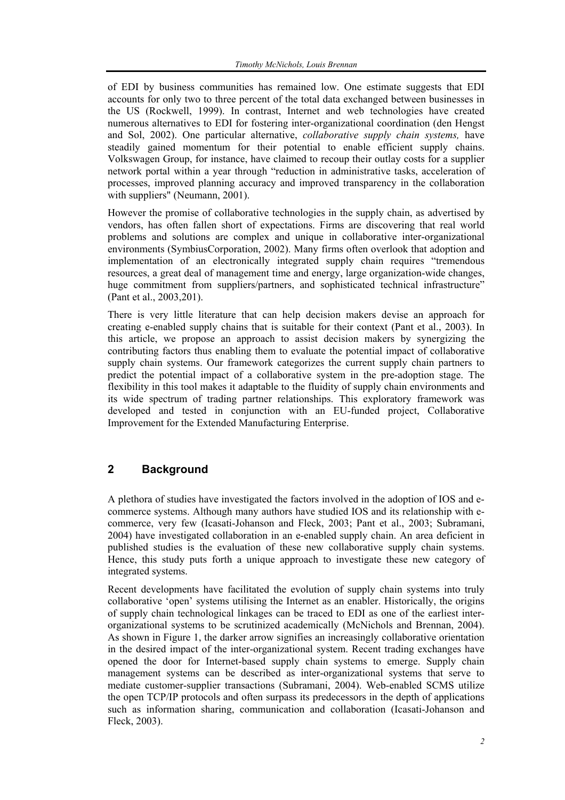of EDI by business communities has remained low. One estimate suggests that EDI accounts for only two to three percent of the total data exchanged between businesses in the US (Rockwell, 1999). In contrast, Internet and web technologies have created numerous alternatives to EDI for fostering inter-organizational coordination (den Hengst and Sol, 2002). One particular alternative, *collaborative supply chain systems,* have steadily gained momentum for their potential to enable efficient supply chains. Volkswagen Group, for instance, have claimed to recoup their outlay costs for a supplier network portal within a year through "reduction in administrative tasks, acceleration of processes, improved planning accuracy and improved transparency in the collaboration with suppliers" (Neumann, 2001).

However the promise of collaborative technologies in the supply chain, as advertised by vendors, has often fallen short of expectations. Firms are discovering that real world problems and solutions are complex and unique in collaborative inter-organizational environments (SymbiusCorporation, 2002). Many firms often overlook that adoption and implementation of an electronically integrated supply chain requires "tremendous resources, a great deal of management time and energy, large organization-wide changes, huge commitment from suppliers/partners, and sophisticated technical infrastructure" (Pant et al., 2003,201).

There is very little literature that can help decision makers devise an approach for creating e-enabled supply chains that is suitable for their context (Pant et al., 2003). In this article, we propose an approach to assist decision makers by synergizing the contributing factors thus enabling them to evaluate the potential impact of collaborative supply chain systems. Our framework categorizes the current supply chain partners to predict the potential impact of a collaborative system in the pre-adoption stage. The flexibility in this tool makes it adaptable to the fluidity of supply chain environments and its wide spectrum of trading partner relationships. This exploratory framework was developed and tested in conjunction with an EU-funded project, Collaborative Improvement for the Extended Manufacturing Enterprise.

# **2 Background**

A plethora of studies have investigated the factors involved in the adoption of IOS and ecommerce systems. Although many authors have studied IOS and its relationship with ecommerce, very few (Icasati-Johanson and Fleck, 2003; Pant et al., 2003; Subramani, 2004) have investigated collaboration in an e-enabled supply chain. An area deficient in published studies is the evaluation of these new collaborative supply chain systems. Hence, this study puts forth a unique approach to investigate these new category of integrated systems.

Recent developments have facilitated the evolution of supply chain systems into truly collaborative 'open' systems utilising the Internet as an enabler. Historically, the origins of supply chain technological linkages can be traced to EDI as one of the earliest interorganizational systems to be scrutinized academically (McNichols and Brennan, 2004). As shown in Figure 1, the darker arrow signifies an increasingly collaborative orientation in the desired impact of the inter-organizational system. Recent trading exchanges have opened the door for Internet-based supply chain systems to emerge. Supply chain management systems can be described as inter-organizational systems that serve to mediate customer-supplier transactions (Subramani, 2004). Web-enabled SCMS utilize the open TCP/IP protocols and often surpass its predecessors in the depth of applications such as information sharing, communication and collaboration (Icasati-Johanson and Fleck, 2003).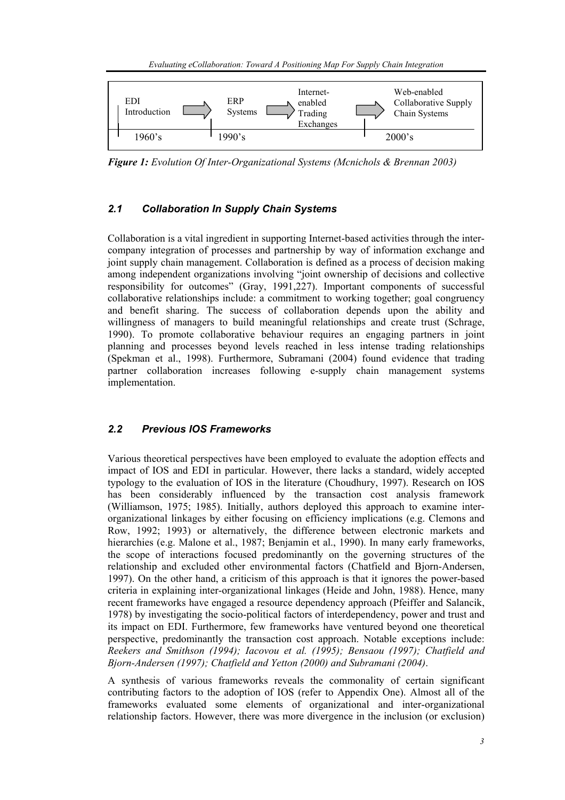

*Figure 1: Evolution Of Inter-Organizational Systems (Mcnichols & Brennan 2003)* 

#### *2.1 Collaboration In Supply Chain Systems*

Collaboration is a vital ingredient in supporting Internet-based activities through the intercompany integration of processes and partnership by way of information exchange and joint supply chain management. Collaboration is defined as a process of decision making among independent organizations involving "joint ownership of decisions and collective responsibility for outcomes" (Gray, 1991,227). Important components of successful collaborative relationships include: a commitment to working together; goal congruency and benefit sharing. The success of collaboration depends upon the ability and willingness of managers to build meaningful relationships and create trust (Schrage, 1990). To promote collaborative behaviour requires an engaging partners in joint planning and processes beyond levels reached in less intense trading relationships (Spekman et al., 1998). Furthermore, Subramani (2004) found evidence that trading partner collaboration increases following e-supply chain management systems implementation.

#### *2.2 Previous IOS Frameworks*

Various theoretical perspectives have been employed to evaluate the adoption effects and impact of IOS and EDI in particular. However, there lacks a standard, widely accepted typology to the evaluation of IOS in the literature (Choudhury, 1997). Research on IOS has been considerably influenced by the transaction cost analysis framework (Williamson, 1975; 1985). Initially, authors deployed this approach to examine interorganizational linkages by either focusing on efficiency implications (e.g. Clemons and Row, 1992; 1993) or alternatively, the difference between electronic markets and hierarchies (e.g. Malone et al., 1987; Benjamin et al., 1990). In many early frameworks, the scope of interactions focused predominantly on the governing structures of the relationship and excluded other environmental factors (Chatfield and Bjorn-Andersen, 1997). On the other hand, a criticism of this approach is that it ignores the power-based criteria in explaining inter-organizational linkages (Heide and John, 1988). Hence, many recent frameworks have engaged a resource dependency approach (Pfeiffer and Salancik, 1978) by investigating the socio-political factors of interdependency, power and trust and its impact on EDI. Furthermore, few frameworks have ventured beyond one theoretical perspective, predominantly the transaction cost approach. Notable exceptions include: *Reekers and Smithson (1994); Iacovou et al. (1995); Bensaou (1997); Chatfield and Bjorn-Andersen (1997); Chatfield and Yetton (2000) and Subramani (2004)*.

A synthesis of various frameworks reveals the commonality of certain significant contributing factors to the adoption of IOS (refer to Appendix One). Almost all of the frameworks evaluated some elements of organizational and inter-organizational relationship factors. However, there was more divergence in the inclusion (or exclusion)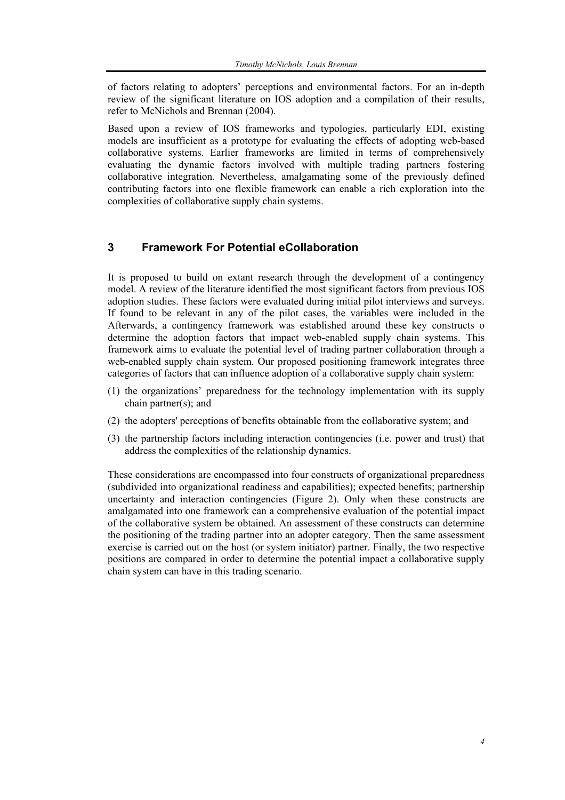of factors relating to adopters' perceptions and environmental factors. For an in-depth review of the significant literature on IOS adoption and a compilation of their results, refer to McNichols and Brennan (2004).

Based upon a review of IOS frameworks and typologies, particularly EDI, existing models are insufficient as a prototype for evaluating the effects of adopting web-based collaborative systems. Earlier frameworks are limited in terms of comprehensively evaluating the dynamic factors involved with multiple trading partners fostering collaborative integration. Nevertheless, amalgamating some of the previously defined contributing factors into one flexible framework can enable a rich exploration into the complexities of collaborative supply chain systems.

## **3 Framework For Potential eCollaboration**

It is proposed to build on extant research through the development of a contingency model. A review of the literature identified the most significant factors from previous IOS adoption studies. These factors were evaluated during initial pilot interviews and surveys. If found to be relevant in any of the pilot cases, the variables were included in the Afterwards, a contingency framework was established around these key constructs o determine the adoption factors that impact web-enabled supply chain systems. This framework aims to evaluate the potential level of trading partner collaboration through a web-enabled supply chain system. Our proposed positioning framework integrates three categories of factors that can influence adoption of a collaborative supply chain system:

- (1) the organizations' preparedness for the technology implementation with its supply chain partner(s); and
- (2) the adopters' perceptions of benefits obtainable from the collaborative system; and
- (3) the partnership factors including interaction contingencies (i.e. power and trust) that address the complexities of the relationship dynamics.

These considerations are encompassed into four constructs of organizational preparedness (subdivided into organizational readiness and capabilities); expected benefits; partnership uncertainty and interaction contingencies (Figure 2). Only when these constructs are amalgamated into one framework can a comprehensive evaluation of the potential impact of the collaborative system be obtained. An assessment of these constructs can determine the positioning of the trading partner into an adopter category. Then the same assessment exercise is carried out on the host (or system initiator) partner. Finally, the two respective positions are compared in order to determine the potential impact a collaborative supply chain system can have in this trading scenario.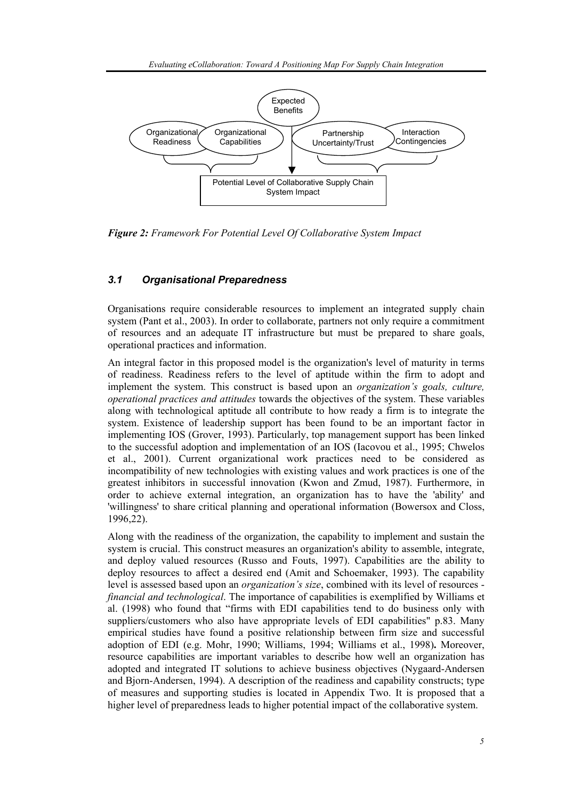

*Figure 2: Framework For Potential Level Of Collaborative System Impact* 

#### *3.1 Organisational Preparedness*

Organisations require considerable resources to implement an integrated supply chain system (Pant et al., 2003). In order to collaborate, partners not only require a commitment of resources and an adequate IT infrastructure but must be prepared to share goals, operational practices and information.

An integral factor in this proposed model is the organization's level of maturity in terms of readiness. Readiness refers to the level of aptitude within the firm to adopt and implement the system. This construct is based upon an *organization's goals, culture, operational practices and attitudes* towards the objectives of the system. These variables along with technological aptitude all contribute to how ready a firm is to integrate the system. Existence of leadership support has been found to be an important factor in implementing IOS (Grover, 1993). Particularly, top management support has been linked to the successful adoption and implementation of an IOS (Iacovou et al., 1995; Chwelos et al., 2001). Current organizational work practices need to be considered as incompatibility of new technologies with existing values and work practices is one of the greatest inhibitors in successful innovation (Kwon and Zmud, 1987). Furthermore, in order to achieve external integration, an organization has to have the 'ability' and 'willingness' to share critical planning and operational information (Bowersox and Closs, 1996,22).

Along with the readiness of the organization, the capability to implement and sustain the system is crucial. This construct measures an organization's ability to assemble, integrate, and deploy valued resources (Russo and Fouts, 1997). Capabilities are the ability to deploy resources to affect a desired end (Amit and Schoemaker, 1993). The capability level is assessed based upon an *organization's size*, combined with its level of resources *financial and technological*. The importance of capabilities is exemplified by Williams et al. (1998) who found that "firms with EDI capabilities tend to do business only with suppliers/customers who also have appropriate levels of EDI capabilities" p.83. Many empirical studies have found a positive relationship between firm size and successful adoption of EDI (e.g. Mohr, 1990; Williams, 1994; Williams et al., 1998)**.** Moreover, resource capabilities are important variables to describe how well an organization has adopted and integrated IT solutions to achieve business objectives (Nygaard-Andersen and Bjorn-Andersen, 1994). A description of the readiness and capability constructs; type of measures and supporting studies is located in Appendix Two. It is proposed that a higher level of preparedness leads to higher potential impact of the collaborative system.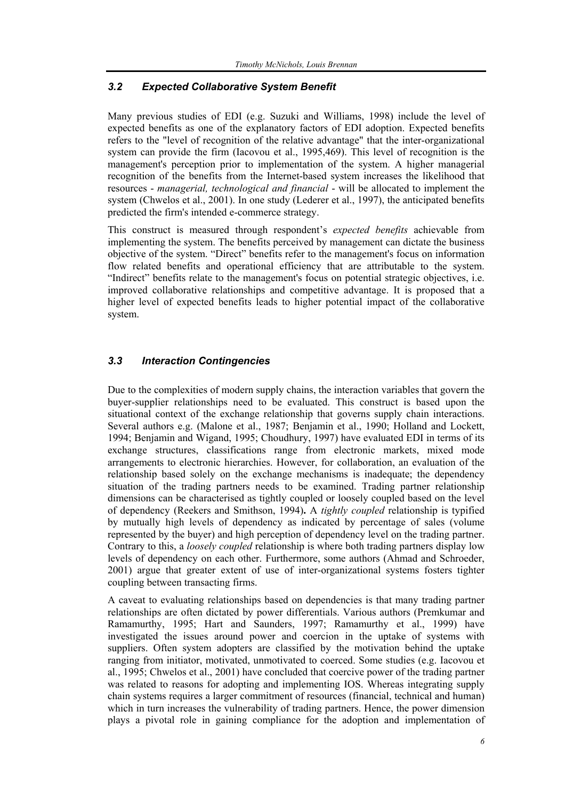#### *3.2 Expected Collaborative System Benefit*

Many previous studies of EDI (e.g. Suzuki and Williams, 1998) include the level of expected benefits as one of the explanatory factors of EDI adoption. Expected benefits refers to the "level of recognition of the relative advantage" that the inter-organizational system can provide the firm (Iacovou et al., 1995,469). This level of recognition is the management's perception prior to implementation of the system. A higher managerial recognition of the benefits from the Internet-based system increases the likelihood that resources - *managerial, technological and financial* - will be allocated to implement the system (Chwelos et al., 2001). In one study (Lederer et al., 1997), the anticipated benefits predicted the firm's intended e-commerce strategy.

This construct is measured through respondent's *expected benefits* achievable from implementing the system. The benefits perceived by management can dictate the business objective of the system. "Direct" benefits refer to the management's focus on information flow related benefits and operational efficiency that are attributable to the system. "Indirect" benefits relate to the management's focus on potential strategic objectives, i.e. improved collaborative relationships and competitive advantage. It is proposed that a higher level of expected benefits leads to higher potential impact of the collaborative system.

#### *3.3 Interaction Contingencies*

Due to the complexities of modern supply chains, the interaction variables that govern the buyer-supplier relationships need to be evaluated. This construct is based upon the situational context of the exchange relationship that governs supply chain interactions. Several authors e.g. (Malone et al., 1987; Benjamin et al., 1990; Holland and Lockett, 1994; Benjamin and Wigand, 1995; Choudhury, 1997) have evaluated EDI in terms of its exchange structures, classifications range from electronic markets, mixed mode arrangements to electronic hierarchies. However, for collaboration, an evaluation of the relationship based solely on the exchange mechanisms is inadequate; the dependency situation of the trading partners needs to be examined. Trading partner relationship dimensions can be characterised as tightly coupled or loosely coupled based on the level of dependency (Reekers and Smithson, 1994)**.** A *tightly coupled* relationship is typified by mutually high levels of dependency as indicated by percentage of sales (volume represented by the buyer) and high perception of dependency level on the trading partner. Contrary to this, a *loosely coupled* relationship is where both trading partners display low levels of dependency on each other. Furthermore, some authors (Ahmad and Schroeder, 2001) argue that greater extent of use of inter-organizational systems fosters tighter coupling between transacting firms.

A caveat to evaluating relationships based on dependencies is that many trading partner relationships are often dictated by power differentials. Various authors (Premkumar and Ramamurthy, 1995; Hart and Saunders, 1997; Ramamurthy et al., 1999) have investigated the issues around power and coercion in the uptake of systems with suppliers. Often system adopters are classified by the motivation behind the uptake ranging from initiator, motivated, unmotivated to coerced. Some studies (e.g. Iacovou et al., 1995; Chwelos et al., 2001) have concluded that coercive power of the trading partner was related to reasons for adopting and implementing IOS. Whereas integrating supply chain systems requires a larger commitment of resources (financial, technical and human) which in turn increases the vulnerability of trading partners. Hence, the power dimension plays a pivotal role in gaining compliance for the adoption and implementation of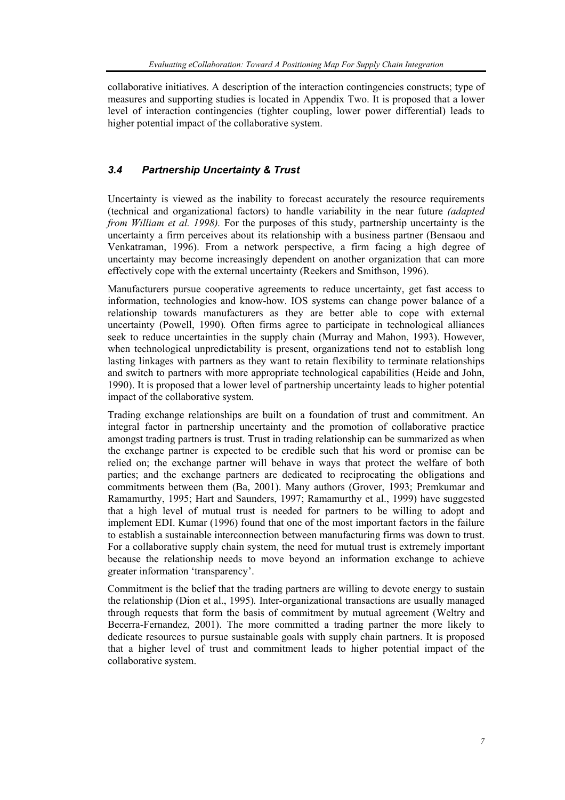collaborative initiatives. A description of the interaction contingencies constructs; type of measures and supporting studies is located in Appendix Two. It is proposed that a lower level of interaction contingencies (tighter coupling, lower power differential) leads to higher potential impact of the collaborative system.

#### *3.4 Partnership Uncertainty & Trust*

Uncertainty is viewed as the inability to forecast accurately the resource requirements (technical and organizational factors) to handle variability in the near future *(adapted from William et al. 1998)*. For the purposes of this study, partnership uncertainty is the uncertainty a firm perceives about its relationship with a business partner (Bensaou and Venkatraman, 1996). From a network perspective, a firm facing a high degree of uncertainty may become increasingly dependent on another organization that can more effectively cope with the external uncertainty (Reekers and Smithson, 1996).

Manufacturers pursue cooperative agreements to reduce uncertainty, get fast access to information, technologies and know-how. IOS systems can change power balance of a relationship towards manufacturers as they are better able to cope with external uncertainty (Powell, 1990)*.* Often firms agree to participate in technological alliances seek to reduce uncertainties in the supply chain (Murray and Mahon, 1993). However, when technological unpredictability is present, organizations tend not to establish long lasting linkages with partners as they want to retain flexibility to terminate relationships and switch to partners with more appropriate technological capabilities (Heide and John, 1990). It is proposed that a lower level of partnership uncertainty leads to higher potential impact of the collaborative system.

Trading exchange relationships are built on a foundation of trust and commitment. An integral factor in partnership uncertainty and the promotion of collaborative practice amongst trading partners is trust. Trust in trading relationship can be summarized as when the exchange partner is expected to be credible such that his word or promise can be relied on; the exchange partner will behave in ways that protect the welfare of both parties; and the exchange partners are dedicated to reciprocating the obligations and commitments between them (Ba, 2001). Many authors (Grover, 1993; Premkumar and Ramamurthy, 1995; Hart and Saunders, 1997; Ramamurthy et al., 1999) have suggested that a high level of mutual trust is needed for partners to be willing to adopt and implement EDI. Kumar (1996) found that one of the most important factors in the failure to establish a sustainable interconnection between manufacturing firms was down to trust. For a collaborative supply chain system, the need for mutual trust is extremely important because the relationship needs to move beyond an information exchange to achieve greater information 'transparency'.

Commitment is the belief that the trading partners are willing to devote energy to sustain the relationship (Dion et al., 1995)*.* Inter-organizational transactions are usually managed through requests that form the basis of commitment by mutual agreement (Weltry and Becerra-Fernandez, 2001). The more committed a trading partner the more likely to dedicate resources to pursue sustainable goals with supply chain partners. It is proposed that a higher level of trust and commitment leads to higher potential impact of the collaborative system.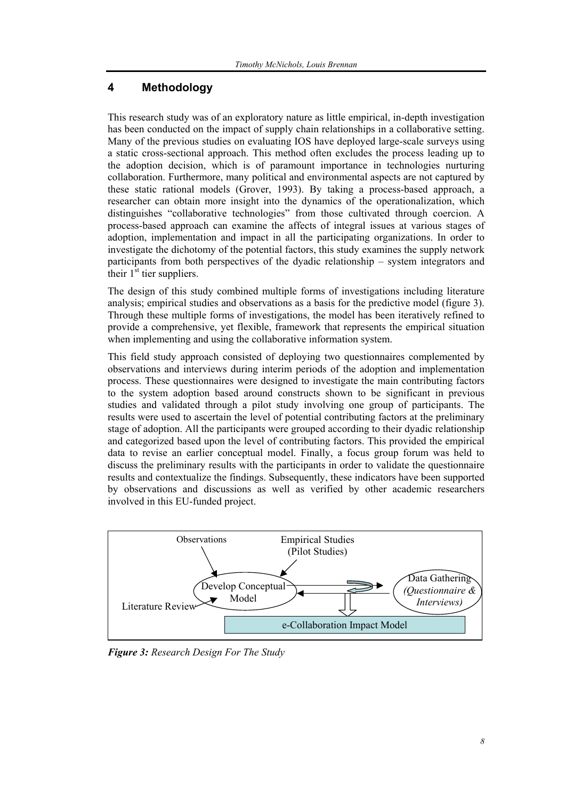# **4 Methodology**

This research study was of an exploratory nature as little empirical, in-depth investigation has been conducted on the impact of supply chain relationships in a collaborative setting. Many of the previous studies on evaluating IOS have deployed large-scale surveys using a static cross-sectional approach. This method often excludes the process leading up to the adoption decision, which is of paramount importance in technologies nurturing collaboration. Furthermore, many political and environmental aspects are not captured by these static rational models (Grover, 1993). By taking a process-based approach, a researcher can obtain more insight into the dynamics of the operationalization, which distinguishes "collaborative technologies" from those cultivated through coercion. A process-based approach can examine the affects of integral issues at various stages of adoption, implementation and impact in all the participating organizations. In order to investigate the dichotomy of the potential factors, this study examines the supply network participants from both perspectives of the dyadic relationship – system integrators and their  $1<sup>st</sup>$  tier suppliers.

The design of this study combined multiple forms of investigations including literature analysis; empirical studies and observations as a basis for the predictive model (figure 3). Through these multiple forms of investigations, the model has been iteratively refined to provide a comprehensive, yet flexible, framework that represents the empirical situation when implementing and using the collaborative information system.

This field study approach consisted of deploying two questionnaires complemented by observations and interviews during interim periods of the adoption and implementation process. These questionnaires were designed to investigate the main contributing factors to the system adoption based around constructs shown to be significant in previous studies and validated through a pilot study involving one group of participants. The results were used to ascertain the level of potential contributing factors at the preliminary stage of adoption. All the participants were grouped according to their dyadic relationship and categorized based upon the level of contributing factors. This provided the empirical data to revise an earlier conceptual model. Finally, a focus group forum was held to discuss the preliminary results with the participants in order to validate the questionnaire results and contextualize the findings. Subsequently, these indicators have been supported by observations and discussions as well as verified by other academic researchers involved in this EU-funded project.



*Figure 3: Research Design For The Study*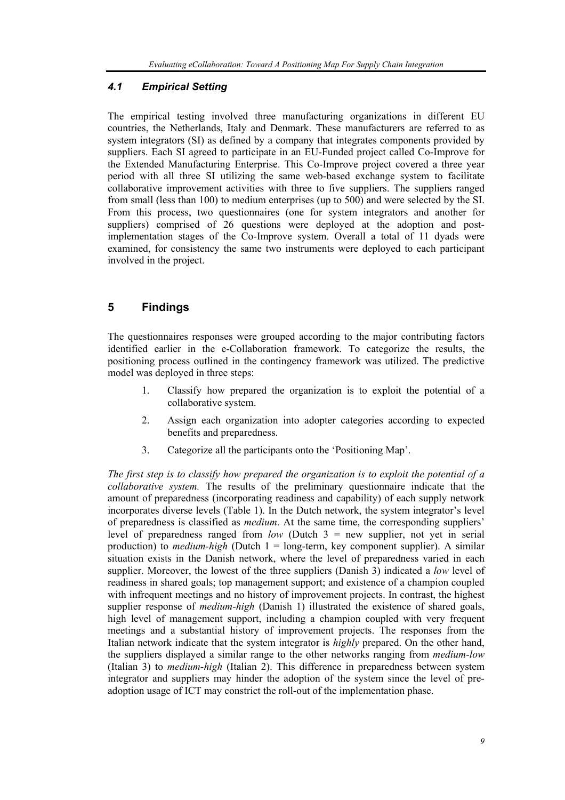#### *4.1 Empirical Setting*

The empirical testing involved three manufacturing organizations in different EU countries, the Netherlands, Italy and Denmark. These manufacturers are referred to as system integrators (SI) as defined by a company that integrates components provided by suppliers. Each SI agreed to participate in an EU-Funded project called Co-Improve for the Extended Manufacturing Enterprise. This Co-Improve project covered a three year period with all three SI utilizing the same web-based exchange system to facilitate collaborative improvement activities with three to five suppliers. The suppliers ranged from small (less than 100) to medium enterprises (up to 500) and were selected by the SI. From this process, two questionnaires (one for system integrators and another for suppliers) comprised of 26 questions were deployed at the adoption and postimplementation stages of the Co-Improve system. Overall a total of 11 dyads were examined, for consistency the same two instruments were deployed to each participant involved in the project.

# **5 Findings**

The questionnaires responses were grouped according to the major contributing factors identified earlier in the e-Collaboration framework. To categorize the results, the positioning process outlined in the contingency framework was utilized. The predictive model was deployed in three steps:

- 1. Classify how prepared the organization is to exploit the potential of a collaborative system.
- 2. Assign each organization into adopter categories according to expected benefits and preparedness.
- 3. Categorize all the participants onto the 'Positioning Map'.

*The first step is to classify how prepared the organization is to exploit the potential of a collaborative system.* The results of the preliminary questionnaire indicate that the amount of preparedness (incorporating readiness and capability) of each supply network incorporates diverse levels (Table 1). In the Dutch network, the system integrator's level of preparedness is classified as *medium*. At the same time, the corresponding suppliers' level of preparedness ranged from *low* (Dutch 3 = new supplier, not yet in serial production) to *medium-high* (Dutch 1 = long-term, key component supplier). A similar situation exists in the Danish network, where the level of preparedness varied in each supplier. Moreover, the lowest of the three suppliers (Danish 3) indicated a *low* level of readiness in shared goals; top management support; and existence of a champion coupled with infrequent meetings and no history of improvement projects. In contrast, the highest supplier response of *medium-high* (Danish 1) illustrated the existence of shared goals, high level of management support, including a champion coupled with very frequent meetings and a substantial history of improvement projects. The responses from the Italian network indicate that the system integrator is *highly* prepared. On the other hand, the suppliers displayed a similar range to the other networks ranging from *medium-low* (Italian 3) to *medium-high* (Italian 2). This difference in preparedness between system integrator and suppliers may hinder the adoption of the system since the level of preadoption usage of ICT may constrict the roll-out of the implementation phase.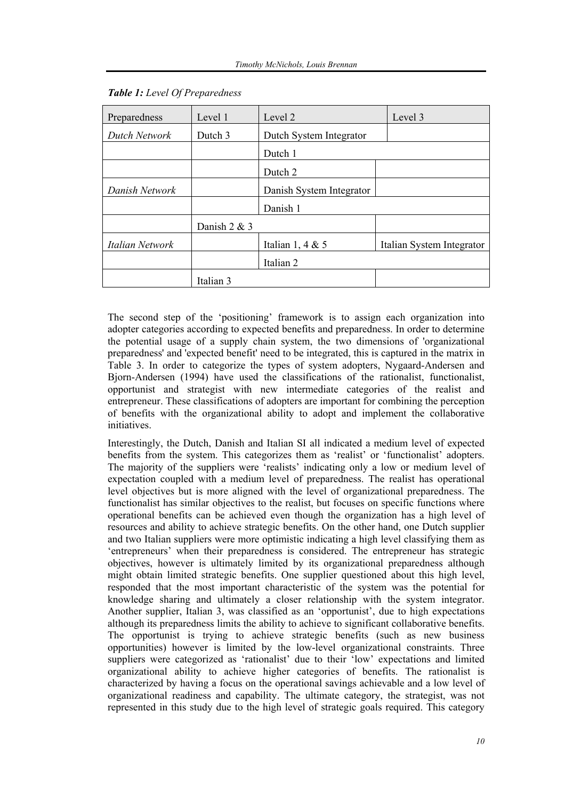| Preparedness    | Level 1        | Level 2                  | Level 3                   |  |
|-----------------|----------------|--------------------------|---------------------------|--|
| Dutch Network   | Dutch 3        | Dutch System Integrator  |                           |  |
|                 |                | Dutch 1                  |                           |  |
|                 |                | Dutch 2                  |                           |  |
| Danish Network  |                | Danish System Integrator |                           |  |
|                 |                | Danish 1                 |                           |  |
|                 | Danish $2 & 3$ |                          |                           |  |
| Italian Network |                | Italian 1, 4 & 5         | Italian System Integrator |  |
|                 |                | Italian <sub>2</sub>     |                           |  |
|                 | Italian 3      |                          |                           |  |

#### *Table 1: Level Of Preparedness*

The second step of the 'positioning' framework is to assign each organization into adopter categories according to expected benefits and preparedness. In order to determine the potential usage of a supply chain system, the two dimensions of 'organizational preparedness' and 'expected benefit' need to be integrated, this is captured in the matrix in Table 3. In order to categorize the types of system adopters, Nygaard-Andersen and Bjorn-Andersen (1994) have used the classifications of the rationalist, functionalist, opportunist and strategist with new intermediate categories of the realist and entrepreneur. These classifications of adopters are important for combining the perception of benefits with the organizational ability to adopt and implement the collaborative initiatives.

Interestingly, the Dutch, Danish and Italian SI all indicated a medium level of expected benefits from the system. This categorizes them as 'realist' or 'functionalist' adopters. The majority of the suppliers were 'realists' indicating only a low or medium level of expectation coupled with a medium level of preparedness. The realist has operational level objectives but is more aligned with the level of organizational preparedness. The functionalist has similar objectives to the realist, but focuses on specific functions where operational benefits can be achieved even though the organization has a high level of resources and ability to achieve strategic benefits. On the other hand, one Dutch supplier and two Italian suppliers were more optimistic indicating a high level classifying them as 'entrepreneurs' when their preparedness is considered. The entrepreneur has strategic objectives, however is ultimately limited by its organizational preparedness although might obtain limited strategic benefits. One supplier questioned about this high level, responded that the most important characteristic of the system was the potential for knowledge sharing and ultimately a closer relationship with the system integrator. Another supplier, Italian 3, was classified as an 'opportunist', due to high expectations although its preparedness limits the ability to achieve to significant collaborative benefits. The opportunist is trying to achieve strategic benefits (such as new business opportunities) however is limited by the low-level organizational constraints. Three suppliers were categorized as 'rationalist' due to their 'low' expectations and limited organizational ability to achieve higher categories of benefits. The rationalist is characterized by having a focus on the operational savings achievable and a low level of organizational readiness and capability. The ultimate category, the strategist, was not represented in this study due to the high level of strategic goals required. This category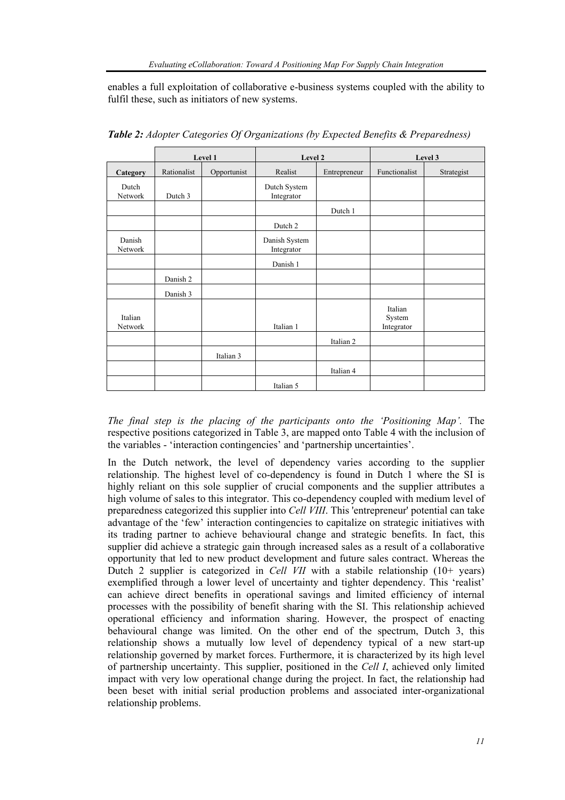enables a full exploitation of collaborative e-business systems coupled with the ability to fulfil these, such as initiators of new systems.

|                    |             | Level 1     | Level 2                     |              | Level 3                         |            |
|--------------------|-------------|-------------|-----------------------------|--------------|---------------------------------|------------|
| Category           | Rationalist | Opportunist | Realist                     | Entrepreneur | Functionalist                   | Strategist |
| Dutch<br>Network   | Dutch 3     |             | Dutch System<br>Integrator  |              |                                 |            |
|                    |             |             |                             | Dutch 1      |                                 |            |
|                    |             |             | Dutch 2                     |              |                                 |            |
| Danish<br>Network  |             |             | Danish System<br>Integrator |              |                                 |            |
|                    |             |             | Danish 1                    |              |                                 |            |
|                    | Danish 2    |             |                             |              |                                 |            |
|                    | Danish 3    |             |                             |              |                                 |            |
| Italian<br>Network |             |             | Italian 1                   |              | Italian<br>System<br>Integrator |            |
|                    |             |             |                             | Italian 2    |                                 |            |
|                    |             | Italian 3   |                             |              |                                 |            |
|                    |             |             |                             | Italian 4    |                                 |            |
|                    |             |             | Italian 5                   |              |                                 |            |

*Table 2: Adopter Categories Of Organizations (by Expected Benefits & Preparedness)* 

*The final step is the placing of the participants onto the 'Positioning Map'.* The respective positions categorized in Table 3, are mapped onto Table 4 with the inclusion of the variables - 'interaction contingencies' and 'partnership uncertainties'.

In the Dutch network, the level of dependency varies according to the supplier relationship. The highest level of co-dependency is found in Dutch 1 where the SI is highly reliant on this sole supplier of crucial components and the supplier attributes a high volume of sales to this integrator. This co-dependency coupled with medium level of preparedness categorized this supplier into *Cell VIII*. This 'entrepreneur' potential can take advantage of the 'few' interaction contingencies to capitalize on strategic initiatives with its trading partner to achieve behavioural change and strategic benefits. In fact, this supplier did achieve a strategic gain through increased sales as a result of a collaborative opportunity that led to new product development and future sales contract. Whereas the Dutch 2 supplier is categorized in *Cell VII* with a stabile relationship (10+ years) exemplified through a lower level of uncertainty and tighter dependency. This 'realist' can achieve direct benefits in operational savings and limited efficiency of internal processes with the possibility of benefit sharing with the SI. This relationship achieved operational efficiency and information sharing. However, the prospect of enacting behavioural change was limited. On the other end of the spectrum, Dutch 3, this relationship shows a mutually low level of dependency typical of a new start-up relationship governed by market forces. Furthermore, it is characterized by its high level of partnership uncertainty. This supplier, positioned in the *Cell I*, achieved only limited impact with very low operational change during the project. In fact, the relationship had been beset with initial serial production problems and associated inter-organizational relationship problems.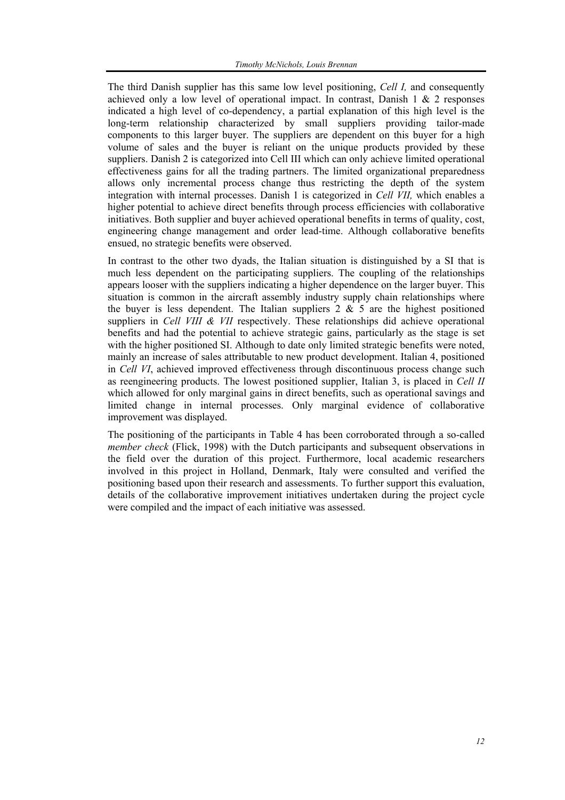The third Danish supplier has this same low level positioning, *Cell I,* and consequently achieved only a low level of operational impact. In contrast, Danish  $1 \& 2$  responses indicated a high level of co-dependency, a partial explanation of this high level is the long-term relationship characterized by small suppliers providing tailor-made components to this larger buyer. The suppliers are dependent on this buyer for a high volume of sales and the buyer is reliant on the unique products provided by these suppliers. Danish 2 is categorized into Cell III which can only achieve limited operational effectiveness gains for all the trading partners. The limited organizational preparedness allows only incremental process change thus restricting the depth of the system integration with internal processes. Danish 1 is categorized in *Cell VII,* which enables a higher potential to achieve direct benefits through process efficiencies with collaborative initiatives. Both supplier and buyer achieved operational benefits in terms of quality, cost, engineering change management and order lead-time. Although collaborative benefits ensued, no strategic benefits were observed.

In contrast to the other two dyads, the Italian situation is distinguished by a SI that is much less dependent on the participating suppliers. The coupling of the relationships appears looser with the suppliers indicating a higher dependence on the larger buyer. This situation is common in the aircraft assembly industry supply chain relationships where the buyer is less dependent. The Italian suppliers  $2 \& 5$  are the highest positioned suppliers in *Cell VIII & VII* respectively. These relationships did achieve operational benefits and had the potential to achieve strategic gains, particularly as the stage is set with the higher positioned SI. Although to date only limited strategic benefits were noted, mainly an increase of sales attributable to new product development. Italian 4, positioned in *Cell VI*, achieved improved effectiveness through discontinuous process change such as reengineering products. The lowest positioned supplier, Italian 3, is placed in *Cell II* which allowed for only marginal gains in direct benefits, such as operational savings and limited change in internal processes. Only marginal evidence of collaborative improvement was displayed.

The positioning of the participants in Table 4 has been corroborated through a so-called *member check* (Flick, 1998) with the Dutch participants and subsequent observations in the field over the duration of this project. Furthermore, local academic researchers involved in this project in Holland, Denmark, Italy were consulted and verified the positioning based upon their research and assessments. To further support this evaluation, details of the collaborative improvement initiatives undertaken during the project cycle were compiled and the impact of each initiative was assessed.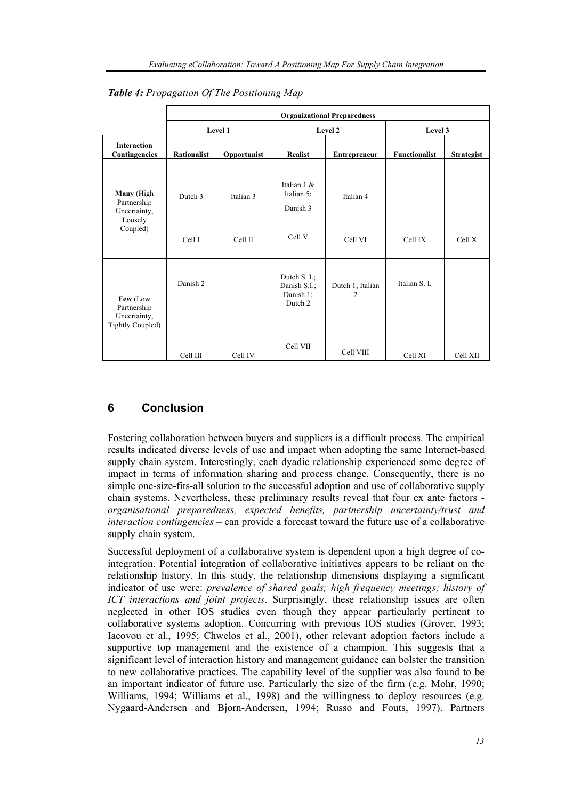|                                                                    | <b>Organizational Preparedness</b> |             |                                                         |                                    |                      |                   |
|--------------------------------------------------------------------|------------------------------------|-------------|---------------------------------------------------------|------------------------------------|----------------------|-------------------|
|                                                                    |                                    | Level 1     | Level 2                                                 |                                    | Level 3              |                   |
| <b>Interaction</b><br>Contingencies                                | <b>Rationalist</b>                 | Opportunist | <b>Realist</b>                                          | <b>Entrepreneur</b>                | <b>Functionalist</b> | <b>Strategist</b> |
| Many (High<br>Partnership<br>Uncertainty,<br>Loosely               | Dutch 3                            | Italian 3   | Italian $1 \&$<br>Italian 5;<br>Danish 3                | Italian 4                          |                      |                   |
| Coupled)                                                           | Cell I                             | Cell II     | Cell V                                                  | Cell VI                            | Cell IX              | Cell X            |
| Few (Low<br>Partnership<br>Uncertainty,<br><b>Tightly Coupled)</b> | Danish 2                           |             | Dutch $S. I.$ ;<br>Danish S.I.;<br>Danish 1;<br>Dutch 2 | Dutch 1; Italian<br>$\overline{2}$ | Italian S. L.        |                   |
|                                                                    | Cell III                           | Cell IV     | Cell VII                                                | Cell VIII                          | Cell XI              | Cell XII          |

*Table 4: Propagation Of The Positioning Map* 

# **6 Conclusion**

Fostering collaboration between buyers and suppliers is a difficult process. The empirical results indicated diverse levels of use and impact when adopting the same Internet-based supply chain system. Interestingly, each dyadic relationship experienced some degree of impact in terms of information sharing and process change. Consequently, there is no simple one-size-fits-all solution to the successful adoption and use of collaborative supply chain systems. Nevertheless, these preliminary results reveal that four ex ante factors *organisational preparedness, expected benefits, partnership uncertainty/trust and interaction contingencies* – can provide a forecast toward the future use of a collaborative supply chain system.

Successful deployment of a collaborative system is dependent upon a high degree of cointegration. Potential integration of collaborative initiatives appears to be reliant on the relationship history. In this study, the relationship dimensions displaying a significant indicator of use were: *prevalence of shared goals; high frequency meetings; history of ICT interactions and joint projects*. Surprisingly, these relationship issues are often neglected in other IOS studies even though they appear particularly pertinent to collaborative systems adoption. Concurring with previous IOS studies (Grover, 1993; Iacovou et al., 1995; Chwelos et al., 2001), other relevant adoption factors include a supportive top management and the existence of a champion. This suggests that a significant level of interaction history and management guidance can bolster the transition to new collaborative practices. The capability level of the supplier was also found to be an important indicator of future use. Particularly the size of the firm (e.g. Mohr, 1990; Williams, 1994; Williams et al., 1998) and the willingness to deploy resources (e.g. Nygaard-Andersen and Bjorn-Andersen, 1994; Russo and Fouts, 1997). Partners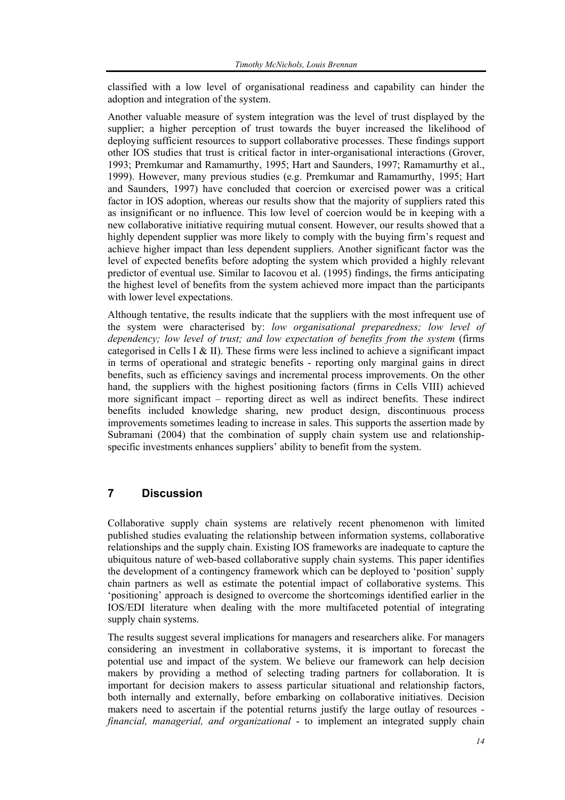classified with a low level of organisational readiness and capability can hinder the adoption and integration of the system.

Another valuable measure of system integration was the level of trust displayed by the supplier; a higher perception of trust towards the buyer increased the likelihood of deploying sufficient resources to support collaborative processes. These findings support other IOS studies that trust is critical factor in inter-organisational interactions (Grover, 1993; Premkumar and Ramamurthy, 1995; Hart and Saunders, 1997; Ramamurthy et al., 1999). However, many previous studies (e.g. Premkumar and Ramamurthy, 1995; Hart and Saunders, 1997) have concluded that coercion or exercised power was a critical factor in IOS adoption, whereas our results show that the majority of suppliers rated this as insignificant or no influence. This low level of coercion would be in keeping with a new collaborative initiative requiring mutual consent. However, our results showed that a highly dependent supplier was more likely to comply with the buying firm's request and achieve higher impact than less dependent suppliers. Another significant factor was the level of expected benefits before adopting the system which provided a highly relevant predictor of eventual use. Similar to Iacovou et al. (1995) findings, the firms anticipating the highest level of benefits from the system achieved more impact than the participants with lower level expectations.

Although tentative, the results indicate that the suppliers with the most infrequent use of the system were characterised by: *low organisational preparedness; low level of dependency; low level of trust; and low expectation of benefits from the system (firms* categorised in Cells I & II). These firms were less inclined to achieve a significant impact in terms of operational and strategic benefits - reporting only marginal gains in direct benefits, such as efficiency savings and incremental process improvements. On the other hand, the suppliers with the highest positioning factors (firms in Cells VIII) achieved more significant impact – reporting direct as well as indirect benefits. These indirect benefits included knowledge sharing, new product design, discontinuous process improvements sometimes leading to increase in sales. This supports the assertion made by Subramani (2004) that the combination of supply chain system use and relationshipspecific investments enhances suppliers' ability to benefit from the system.

#### **7 Discussion**

Collaborative supply chain systems are relatively recent phenomenon with limited published studies evaluating the relationship between information systems, collaborative relationships and the supply chain. Existing IOS frameworks are inadequate to capture the ubiquitous nature of web-based collaborative supply chain systems. This paper identifies the development of a contingency framework which can be deployed to 'position' supply chain partners as well as estimate the potential impact of collaborative systems. This 'positioning' approach is designed to overcome the shortcomings identified earlier in the IOS/EDI literature when dealing with the more multifaceted potential of integrating supply chain systems.

The results suggest several implications for managers and researchers alike. For managers considering an investment in collaborative systems, it is important to forecast the potential use and impact of the system. We believe our framework can help decision makers by providing a method of selecting trading partners for collaboration. It is important for decision makers to assess particular situational and relationship factors, both internally and externally, before embarking on collaborative initiatives. Decision makers need to ascertain if the potential returns justify the large outlay of resources *financial, managerial, and organizational* - to implement an integrated supply chain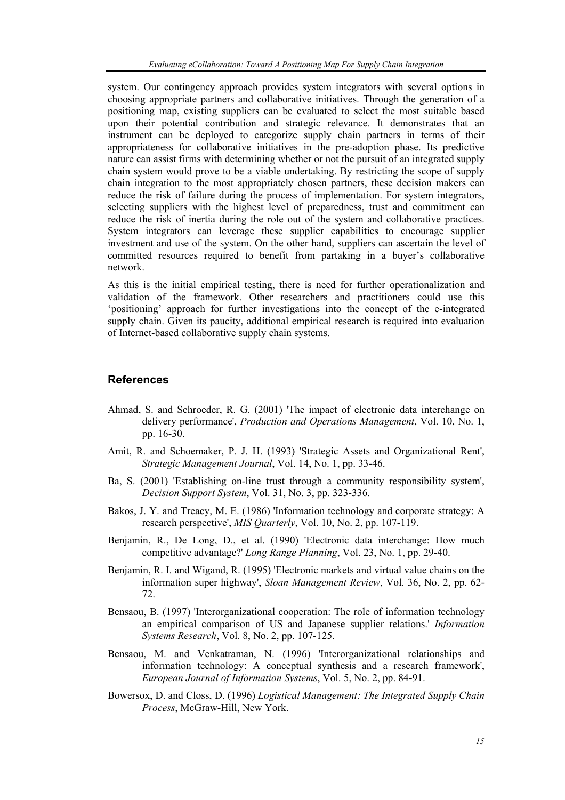system. Our contingency approach provides system integrators with several options in choosing appropriate partners and collaborative initiatives. Through the generation of a positioning map, existing suppliers can be evaluated to select the most suitable based upon their potential contribution and strategic relevance. It demonstrates that an instrument can be deployed to categorize supply chain partners in terms of their appropriateness for collaborative initiatives in the pre-adoption phase. Its predictive nature can assist firms with determining whether or not the pursuit of an integrated supply chain system would prove to be a viable undertaking. By restricting the scope of supply chain integration to the most appropriately chosen partners, these decision makers can reduce the risk of failure during the process of implementation. For system integrators, selecting suppliers with the highest level of preparedness, trust and commitment can reduce the risk of inertia during the role out of the system and collaborative practices. System integrators can leverage these supplier capabilities to encourage supplier investment and use of the system. On the other hand, suppliers can ascertain the level of committed resources required to benefit from partaking in a buyer's collaborative network.

As this is the initial empirical testing, there is need for further operationalization and validation of the framework. Other researchers and practitioners could use this 'positioning' approach for further investigations into the concept of the e-integrated supply chain. Given its paucity, additional empirical research is required into evaluation of Internet-based collaborative supply chain systems.

#### **References**

- Ahmad, S. and Schroeder, R. G. (2001) 'The impact of electronic data interchange on delivery performance', *Production and Operations Management*, Vol. 10, No. 1, pp. 16-30.
- Amit, R. and Schoemaker, P. J. H. (1993) 'Strategic Assets and Organizational Rent', *Strategic Management Journal*, Vol. 14, No. 1, pp. 33-46.
- Ba, S. (2001) 'Establishing on-line trust through a community responsibility system', *Decision Support System*, Vol. 31, No. 3, pp. 323-336.
- Bakos, J. Y. and Treacy, M. E. (1986) 'Information technology and corporate strategy: A research perspective', *MIS Quarterly*, Vol. 10, No. 2, pp. 107-119.
- Benjamin, R., De Long, D., et al. (1990) 'Electronic data interchange: How much competitive advantage?' *Long Range Planning*, Vol. 23, No. 1, pp. 29-40.
- Benjamin, R. I. and Wigand, R. (1995) 'Electronic markets and virtual value chains on the information super highway', *Sloan Management Review*, Vol. 36, No. 2, pp. 62- 72.
- Bensaou, B. (1997) 'Interorganizational cooperation: The role of information technology an empirical comparison of US and Japanese supplier relations.' *Information Systems Research*, Vol. 8, No. 2, pp. 107-125.
- Bensaou, M. and Venkatraman, N. (1996) 'Interorganizational relationships and information technology: A conceptual synthesis and a research framework', *European Journal of Information Systems*, Vol. 5, No. 2, pp. 84-91.
- Bowersox, D. and Closs, D. (1996) *Logistical Management: The Integrated Supply Chain Process*, McGraw-Hill, New York.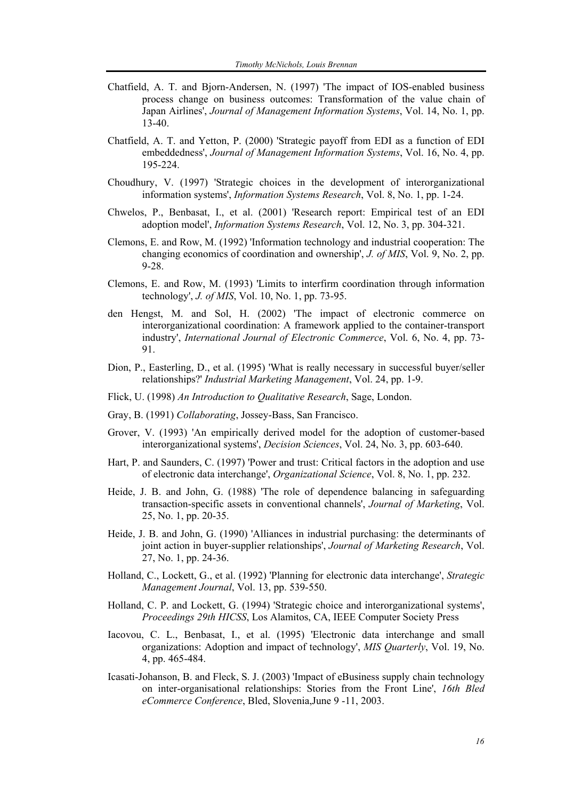- Chatfield, A. T. and Bjorn-Andersen, N. (1997) 'The impact of IOS-enabled business process change on business outcomes: Transformation of the value chain of Japan Airlines', *Journal of Management Information Systems*, Vol. 14, No. 1, pp. 13-40.
- Chatfield, A. T. and Yetton, P. (2000) 'Strategic payoff from EDI as a function of EDI embeddedness', *Journal of Management Information Systems*, Vol. 16, No. 4, pp. 195-224.
- Choudhury, V. (1997) 'Strategic choices in the development of interorganizational information systems', *Information Systems Research*, Vol. 8, No. 1, pp. 1-24.
- Chwelos, P., Benbasat, I., et al. (2001) 'Research report: Empirical test of an EDI adoption model', *Information Systems Research*, Vol. 12, No. 3, pp. 304-321.
- Clemons, E. and Row, M. (1992) 'Information technology and industrial cooperation: The changing economics of coordination and ownership', *J. of MIS*, Vol. 9, No. 2, pp. 9-28.
- Clemons, E. and Row, M. (1993) 'Limits to interfirm coordination through information technology', *J. of MIS*, Vol. 10, No. 1, pp. 73-95.
- den Hengst, M. and Sol, H. (2002) 'The impact of electronic commerce on interorganizational coordination: A framework applied to the container-transport industry', *International Journal of Electronic Commerce*, Vol. 6, No. 4, pp. 73- 91.
- Dion, P., Easterling, D., et al. (1995) 'What is really necessary in successful buyer/seller relationships?' *Industrial Marketing Management*, Vol. 24, pp. 1-9.
- Flick, U. (1998) *An Introduction to Qualitative Research*, Sage, London.
- Gray, B. (1991) *Collaborating*, Jossey-Bass, San Francisco.
- Grover, V. (1993) 'An empirically derived model for the adoption of customer-based interorganizational systems', *Decision Sciences*, Vol. 24, No. 3, pp. 603-640.
- Hart, P. and Saunders, C. (1997) 'Power and trust: Critical factors in the adoption and use of electronic data interchange', *Organizational Science*, Vol. 8, No. 1, pp. 232.
- Heide, J. B. and John, G. (1988) 'The role of dependence balancing in safeguarding transaction-specific assets in conventional channels', *Journal of Marketing*, Vol. 25, No. 1, pp. 20-35.
- Heide, J. B. and John, G. (1990) 'Alliances in industrial purchasing: the determinants of joint action in buyer-supplier relationships', *Journal of Marketing Research*, Vol. 27, No. 1, pp. 24-36.
- Holland, C., Lockett, G., et al. (1992) 'Planning for electronic data interchange', *Strategic Management Journal*, Vol. 13, pp. 539-550.
- Holland, C. P. and Lockett, G. (1994) 'Strategic choice and interorganizational systems', *Proceedings 29th HICSS*, Los Alamitos, CA, IEEE Computer Society Press
- Iacovou, C. L., Benbasat, I., et al. (1995) 'Electronic data interchange and small organizations: Adoption and impact of technology', *MIS Quarterly*, Vol. 19, No. 4, pp. 465-484.
- Icasati-Johanson, B. and Fleck, S. J. (2003) 'Impact of eBusiness supply chain technology on inter-organisational relationships: Stories from the Front Line', *16th Bled eCommerce Conference*, Bled, Slovenia,June 9 -11, 2003.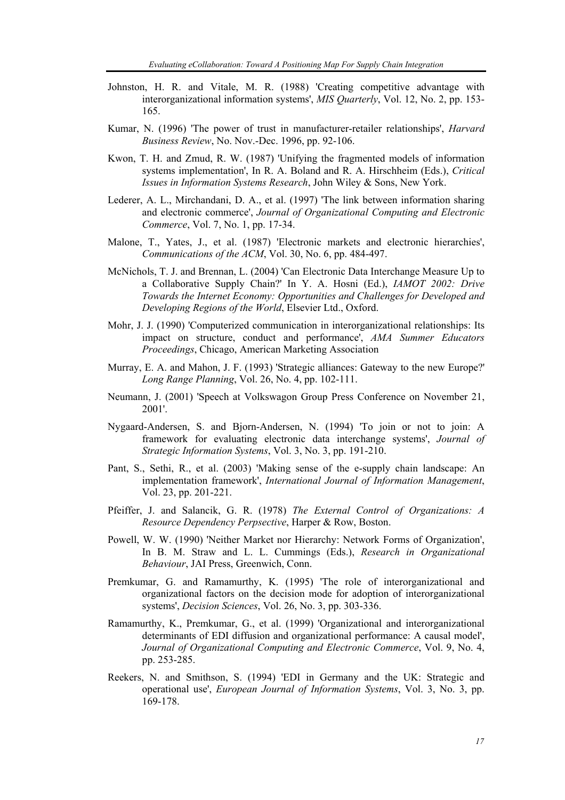- Johnston, H. R. and Vitale, M. R. (1988) 'Creating competitive advantage with interorganizational information systems', *MIS Quarterly*, Vol. 12, No. 2, pp. 153- 165.
- Kumar, N. (1996) 'The power of trust in manufacturer-retailer relationships', *Harvard Business Review*, No. Nov.-Dec. 1996, pp. 92-106.
- Kwon, T. H. and Zmud, R. W. (1987) 'Unifying the fragmented models of information systems implementation', In R. A. Boland and R. A. Hirschheim (Eds.), *Critical Issues in Information Systems Research*, John Wiley & Sons, New York.
- Lederer, A. L., Mirchandani, D. A., et al. (1997) 'The link between information sharing and electronic commerce', *Journal of Organizational Computing and Electronic Commerce*, Vol. 7, No. 1, pp. 17-34.
- Malone, T., Yates, J., et al. (1987) 'Electronic markets and electronic hierarchies', *Communications of the ACM*, Vol. 30, No. 6, pp. 484-497.
- McNichols, T. J. and Brennan, L. (2004) 'Can Electronic Data Interchange Measure Up to a Collaborative Supply Chain?' In Y. A. Hosni (Ed.), *IAMOT 2002: Drive Towards the Internet Economy: Opportunities and Challenges for Developed and Developing Regions of the World*, Elsevier Ltd., Oxford.
- Mohr, J. J. (1990) 'Computerized communication in interorganizational relationships: Its impact on structure, conduct and performance', *AMA Summer Educators Proceedings*, Chicago, American Marketing Association
- Murray, E. A. and Mahon, J. F. (1993) 'Strategic alliances: Gateway to the new Europe?' *Long Range Planning*, Vol. 26, No. 4, pp. 102-111.
- Neumann, J. (2001) 'Speech at Volkswagon Group Press Conference on November 21, 2001'.
- Nygaard-Andersen, S. and Bjorn-Andersen, N. (1994) 'To join or not to join: A framework for evaluating electronic data interchange systems', *Journal of Strategic Information Systems*, Vol. 3, No. 3, pp. 191-210.
- Pant, S., Sethi, R., et al. (2003) 'Making sense of the e-supply chain landscape: An implementation framework', *International Journal of Information Management*, Vol. 23, pp. 201-221.
- Pfeiffer, J. and Salancik, G. R. (1978) *The External Control of Organizations: A Resource Dependency Perpsective*, Harper & Row, Boston.
- Powell, W. W. (1990) 'Neither Market nor Hierarchy: Network Forms of Organization', In B. M. Straw and L. L. Cummings (Eds.), *Research in Organizational Behaviour*, JAI Press, Greenwich, Conn.
- Premkumar, G. and Ramamurthy, K. (1995) 'The role of interorganizational and organizational factors on the decision mode for adoption of interorganizational systems', *Decision Sciences*, Vol. 26, No. 3, pp. 303-336.
- Ramamurthy, K., Premkumar, G., et al. (1999) 'Organizational and interorganizational determinants of EDI diffusion and organizational performance: A causal model', *Journal of Organizational Computing and Electronic Commerce*, Vol. 9, No. 4, pp. 253-285.
- Reekers, N. and Smithson, S. (1994) 'EDI in Germany and the UK: Strategic and operational use', *European Journal of Information Systems*, Vol. 3, No. 3, pp. 169-178.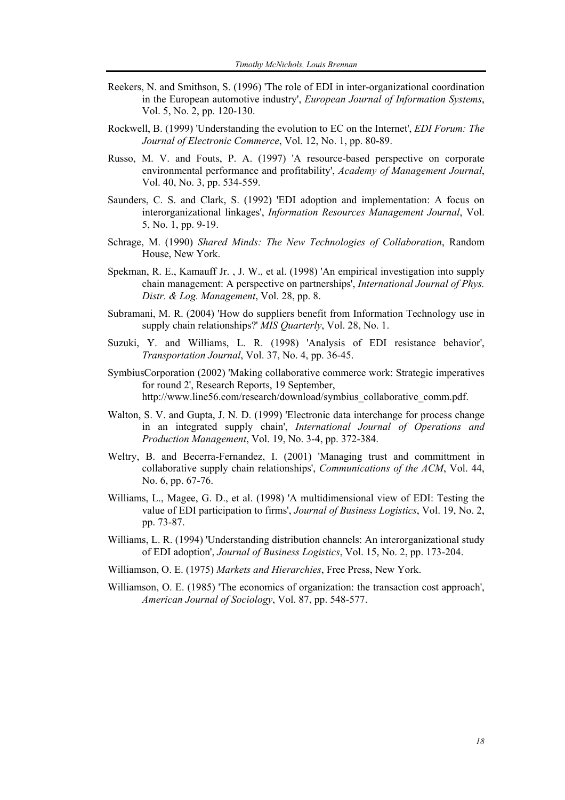- Reekers, N. and Smithson, S. (1996) 'The role of EDI in inter-organizational coordination in the European automotive industry', *European Journal of Information Systems*, Vol. 5, No. 2, pp. 120-130.
- Rockwell, B. (1999) 'Understanding the evolution to EC on the Internet', *EDI Forum: The Journal of Electronic Commerce*, Vol. 12, No. 1, pp. 80-89.
- Russo, M. V. and Fouts, P. A. (1997) 'A resource-based perspective on corporate environmental performance and profitability', *Academy of Management Journal*, Vol. 40, No. 3, pp. 534-559.
- Saunders, C. S. and Clark, S. (1992) 'EDI adoption and implementation: A focus on interorganizational linkages', *Information Resources Management Journal*, Vol. 5, No. 1, pp. 9-19.
- Schrage, M. (1990) *Shared Minds: The New Technologies of Collaboration*, Random House, New York.
- Spekman, R. E., Kamauff Jr. , J. W., et al. (1998) 'An empirical investigation into supply chain management: A perspective on partnerships', *International Journal of Phys. Distr. & Log. Management*, Vol. 28, pp. 8.
- Subramani, M. R. (2004) 'How do suppliers benefit from Information Technology use in supply chain relationships?' *MIS Quarterly*, Vol. 28, No. 1.
- Suzuki, Y. and Williams, L. R. (1998) 'Analysis of EDI resistance behavior', *Transportation Journal*, Vol. 37, No. 4, pp. 36-45.
- SymbiusCorporation (2002) 'Making collaborative commerce work: Strategic imperatives for round 2', Research Reports, 19 September, http://www.line56.com/research/download/symbius\_collaborative\_comm.pdf.
- Walton, S. V. and Gupta, J. N. D. (1999) 'Electronic data interchange for process change in an integrated supply chain', *International Journal of Operations and Production Management*, Vol. 19, No. 3-4, pp. 372-384.
- Weltry, B. and Becerra-Fernandez, I. (2001) 'Managing trust and committment in collaborative supply chain relationships', *Communications of the ACM*, Vol. 44, No. 6, pp. 67-76.
- Williams, L., Magee, G. D., et al. (1998) 'A multidimensional view of EDI: Testing the value of EDI participation to firms', *Journal of Business Logistics*, Vol. 19, No. 2, pp. 73-87.
- Williams, L. R. (1994) 'Understanding distribution channels: An interorganizational study of EDI adoption', *Journal of Business Logistics*, Vol. 15, No. 2, pp. 173-204.
- Williamson, O. E. (1975) *Markets and Hierarchies*, Free Press, New York.
- Williamson, O. E. (1985) 'The economics of organization: the transaction cost approach', *American Journal of Sociology*, Vol. 87, pp. 548-577.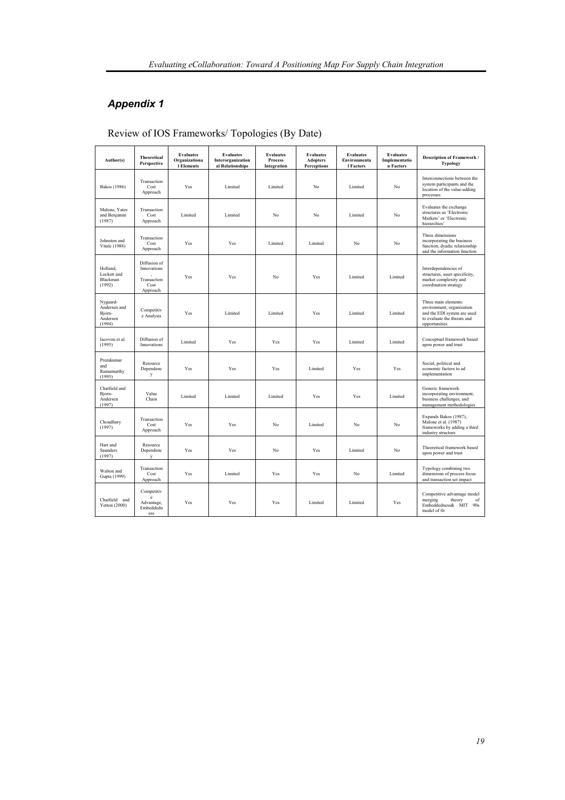# *Appendix 1*

| Author(s)                                                | <b>Theoretical</b><br>Perspective                              | <b>Evaluates</b><br>Organizationa<br>1 Elements | <b>Evaluates</b><br>Interorganization<br>al Relationships | <b>Evaluates</b><br><b>Process</b><br>Integration | <b>Evaluates</b><br><b>Adopters</b><br><b>Perceptions</b> | <b>Evaluates</b><br>Environmenta<br>l Factors | <b>Evaluates</b><br>Implementatio<br>n Factors | <b>Description of Framework /</b><br><b>Typology</b>                                                                             |
|----------------------------------------------------------|----------------------------------------------------------------|-------------------------------------------------|-----------------------------------------------------------|---------------------------------------------------|-----------------------------------------------------------|-----------------------------------------------|------------------------------------------------|----------------------------------------------------------------------------------------------------------------------------------|
| Bakos (1986)                                             | Transaction<br>Cost<br>Approach                                | Yes                                             | Limited                                                   | Limited                                           | No                                                        | Limited                                       | No                                             | Interconnections between the<br>system participants and the<br>location of the value-adding<br>processes                         |
| Malone, Yates<br>and Benjamin<br>(1987)                  | Transaction<br>Cost<br>Approach                                | Limited                                         | Limited                                                   | No                                                | No                                                        | Limited                                       | No                                             | Evaluates the exchange<br>structures as 'Electronic<br>Markets' or 'Electronic<br>hierarchies'                                   |
| Johnston and<br>Vitale (1988)                            | Transaction<br>Cost<br>Approach                                | Yes                                             | Yes                                                       | Limited                                           | Limited                                                   | No                                            | No                                             | Three dimensions<br>incorporating the business<br>function, dyadic relationship<br>and the information function                  |
| Holland,<br>Lockett and<br>Blackman<br>(1992)            | Diffusion of<br>Innovations<br>Transaction<br>Cost<br>Approach | Yes                                             | Yes                                                       | No                                                | Yes                                                       | Limited                                       | Limited                                        | Interdependencies of<br>structures, asset specificity,<br>market complexity and<br>coordination strategy                         |
| Nygaard-<br>Andersen and<br>Bjorn-<br>Andersen<br>(1994) | Competitiv<br>e Analysis                                       | Yes                                             | Limited                                                   | Limited                                           | Yes                                                       | Limited                                       | Limited                                        | Three main elements:<br>environment; organization<br>and the EDI system are used<br>to evaluate the threats and<br>opportunities |
| Iacovou et al.<br>(1995)                                 | Diffusion of<br>Innovations                                    | Limited                                         | Yes                                                       | Yes                                               | Yes                                                       | Limited                                       | Limited                                        | Conceptual framework based<br>upon power and trust                                                                               |
| Premkumar<br>and<br>Ramamurthy<br>(1995)                 | Resource<br>Dependenc<br>y                                     | Yes                                             | Yes                                                       | Yes                                               | Limited                                                   | Yes                                           | Yes                                            | Social, political and<br>economic factors to ad<br>implementation                                                                |
| Chatfield and<br>Bjorn-<br>Andersen<br>(1997)            | Value<br>Chain                                                 | Limited                                         | Limited                                                   | Limited                                           | Yes                                                       | Yes                                           | Limited                                        | Generic framework<br>incorporating environment,<br>business challenges, and<br>management methodologies                          |
| Choudhury<br>(1997)                                      | Transaction<br>Cost<br>Approach                                | Yes                                             | Yes                                                       | No                                                | Limited                                                   | No                                            | No                                             | Expands Bakos (1987),<br>Malone et al. (1987)<br>frameworks by adding a third<br>industry structure                              |
| Hart and<br>Saunders<br>(1997)                           | Resource<br>Dependenc<br>$\mathbf{v}$                          | Yes                                             | Yes                                                       | No                                                | Yes                                                       | Limited                                       | No                                             | Theoretical framework based<br>upon power and trust                                                                              |
| Walton and<br>Gupta (1999)                               | Transaction<br>Cost<br>Approach                                | Yes                                             | Limited                                                   | Yes                                               | Yes                                                       | No                                            | Limited                                        | Typology combining two<br>dimensions of process focus<br>and transaction set impact                                              |
| Chatfield and<br>Yetton $(2000)$                         | Competitiv<br>e<br>Advantage,<br>Embeddedn<br>ess              | Yes                                             | Yes                                                       | Yes                                               | Limited                                                   | Limited                                       | Yes                                            | Competitive advantage model<br>merging<br>theory<br>of<br>Embeddedness& MIT<br>90s<br>model of fit                               |

Review of IOS Frameworks/ Topologies (By Date)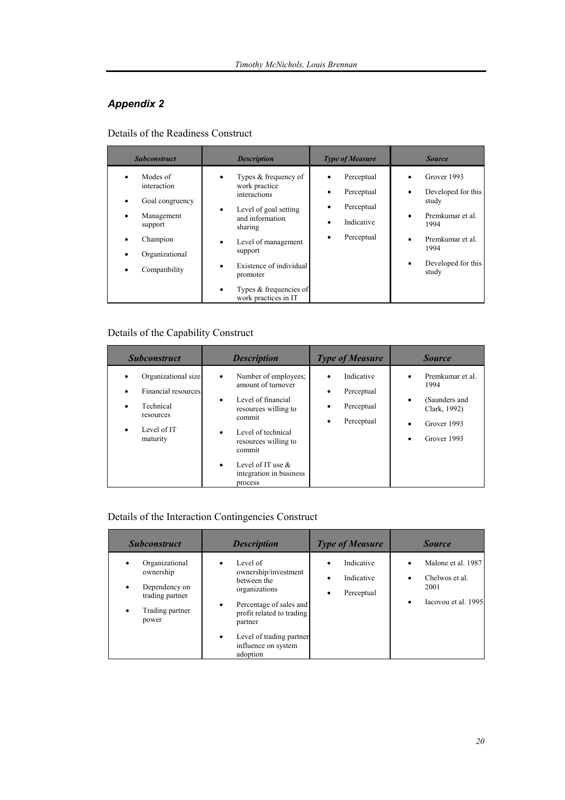# *Appendix 2*

Details of the Readiness Construct

| <b>Subconstruct</b>                                                                                                                                                         | <b>Description</b>                                                                                                                                                                                                                                                                               | <b>Type of Measure</b>                                             | <b>Source</b>                                                                                                                          |
|-----------------------------------------------------------------------------------------------------------------------------------------------------------------------------|--------------------------------------------------------------------------------------------------------------------------------------------------------------------------------------------------------------------------------------------------------------------------------------------------|--------------------------------------------------------------------|----------------------------------------------------------------------------------------------------------------------------------------|
| Modes of<br>$\bullet$<br>interaction<br>Goal congruency<br>Management<br>$\bullet$<br>support<br>Champion<br>$\bullet$<br>Organizational<br>$\bullet$<br>Compatibility<br>٠ | Types & frequency of<br>٠<br>work practice<br>interactions<br>Level of goal setting<br>$\bullet$<br>and information<br>sharing<br>Level of management<br>$\bullet$<br>support<br>Existence of individual<br>$\bullet$<br>promoter<br>Types & frequencies of<br>$\bullet$<br>work practices in IT | Perceptual<br>Perceptual<br>Perceptual<br>Indicative<br>Perceptual | Grover 1993<br>Developed for this<br>study<br>Premkumar et al.<br>1994<br>Premkumar et al.<br>1994<br>Developed for this<br>٠<br>study |

# Details of the Capability Construct

| <b>Subconstruct</b>                                                                             | <b>Description</b>                                                                                                                                                                                                                                                           | <b>Type of Measure</b>                                         | <b>Source</b>                                                                                |
|-------------------------------------------------------------------------------------------------|------------------------------------------------------------------------------------------------------------------------------------------------------------------------------------------------------------------------------------------------------------------------------|----------------------------------------------------------------|----------------------------------------------------------------------------------------------|
| Organizational size<br>Financial resources<br>Technical<br>resources<br>Level of IT<br>maturity | Number of employees;<br>$\bullet$<br>amount of turnover<br>Level of financial<br>$\bullet$<br>resources willing to<br>commit<br>Level of technical<br>$\bullet$<br>resources willing to<br>commit<br>Level of IT use $\&$<br>$\bullet$<br>integration in business<br>process | Indicative<br>Perceptual<br>٠<br>Perceptual<br>Perceptual<br>٠ | Premkumar et al.<br>1994<br>(Saunders and<br>٠<br>Clark, 1992)<br>Grover 1993<br>Grover 1993 |

# Details of the Interaction Contingencies Construct

| <b>Subconstruct</b>                                                                         | <b>Description</b>                                                                                                                                                                                                                        | <b>Type of Measure</b>                      | <b>Source</b>                                                       |
|---------------------------------------------------------------------------------------------|-------------------------------------------------------------------------------------------------------------------------------------------------------------------------------------------------------------------------------------------|---------------------------------------------|---------------------------------------------------------------------|
| Organizational<br>ownership<br>Dependency on<br>trading partner<br>Trading partner<br>power | Level of<br>$\bullet$<br>ownership/investment<br>between the<br>organizations<br>Percentage of sales and<br>$\bullet$<br>profit related to trading<br>partner<br>Level of trading partner<br>$\bullet$<br>influence on system<br>adoption | Indicative<br>Indicative<br>Perceptual<br>٠ | Malone et al. 1987<br>Chelwos et al.<br>2001<br>Iacovou et al. 1995 |